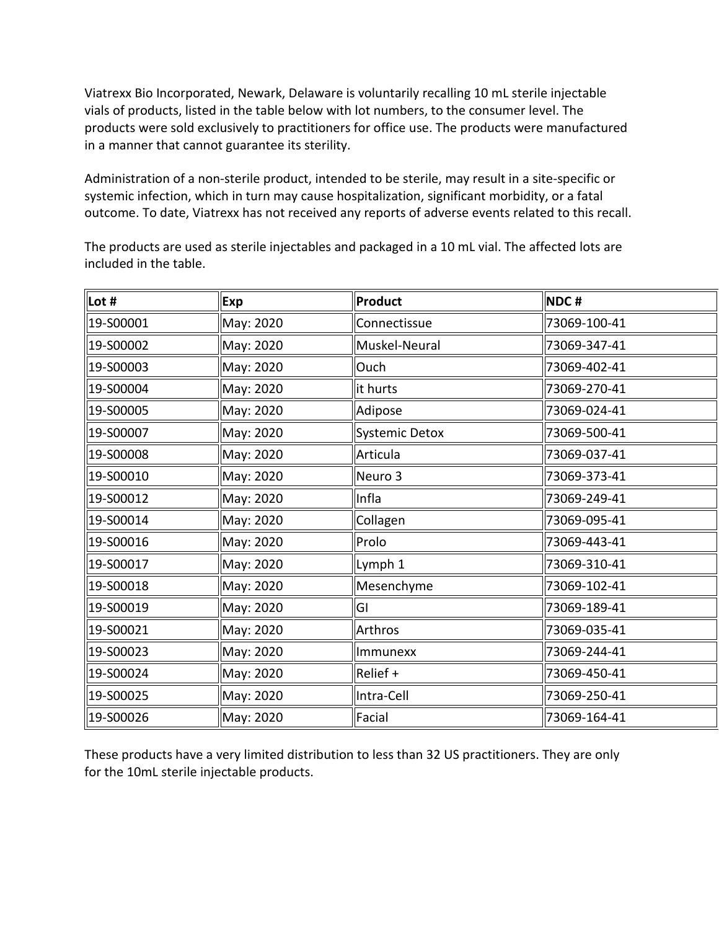vials of products, listed in the table below with lot numbers, to the consumer level. The Viatrexx Bio Incorporated, Newark, Delaware is voluntarily recalling 10 mL sterile injectable products were sold exclusively to practitioners for office use. The products were manufactured in a manner that cannot guarantee its sterility.

 Administration of a non-sterile product, intended to be sterile, may result in a site-specific or systemic infection, which in turn may cause hospitalization, significant morbidity, or a fatal outcome. To date, Viatrexx has not received any reports of adverse events related to this recall.

The products are used as sterile injectables and packaged in a 10 mL vial. The affected lots are included in the table.

| Lot #     | Exp       | Product        | NDC#         |
|-----------|-----------|----------------|--------------|
| 19-S00001 | May: 2020 | Connectissue   | 73069-100-41 |
| 19-S00002 | May: 2020 | Muskel-Neural  | 73069-347-41 |
| 19-S00003 | May: 2020 | Ouch           | 73069-402-41 |
| 19-S00004 | May: 2020 | it hurts       | 73069-270-41 |
| 19-S00005 | May: 2020 | Adipose        | 73069-024-41 |
| 19-S00007 | May: 2020 | Systemic Detox | 73069-500-41 |
| 19-S00008 | May: 2020 | Articula       | 73069-037-41 |
| 19-S00010 | May: 2020 | Neuro 3        | 73069-373-41 |
| 19-S00012 | May: 2020 | Infla          | 73069-249-41 |
| 19-S00014 | May: 2020 | Collagen       | 73069-095-41 |
| 19-S00016 | May: 2020 | Prolo          | 73069-443-41 |
| 19-S00017 | May: 2020 | Lymph 1        | 73069-310-41 |
| 19-S00018 | May: 2020 | Mesenchyme     | 73069-102-41 |
| 19-S00019 | May: 2020 | GI             | 73069-189-41 |
| 19-S00021 | May: 2020 | Arthros        | 73069-035-41 |
| 19-S00023 | May: 2020 | Immunexx       | 73069-244-41 |
| 19-S00024 | May: 2020 | Relief +       | 73069-450-41 |
| 19-S00025 | May: 2020 | Intra-Cell     | 73069-250-41 |
| 19-S00026 | May: 2020 | Facial         | 73069-164-41 |

 These products have a very limited distribution to less than 32 US practitioners. They are only for the 10mL sterile injectable products.